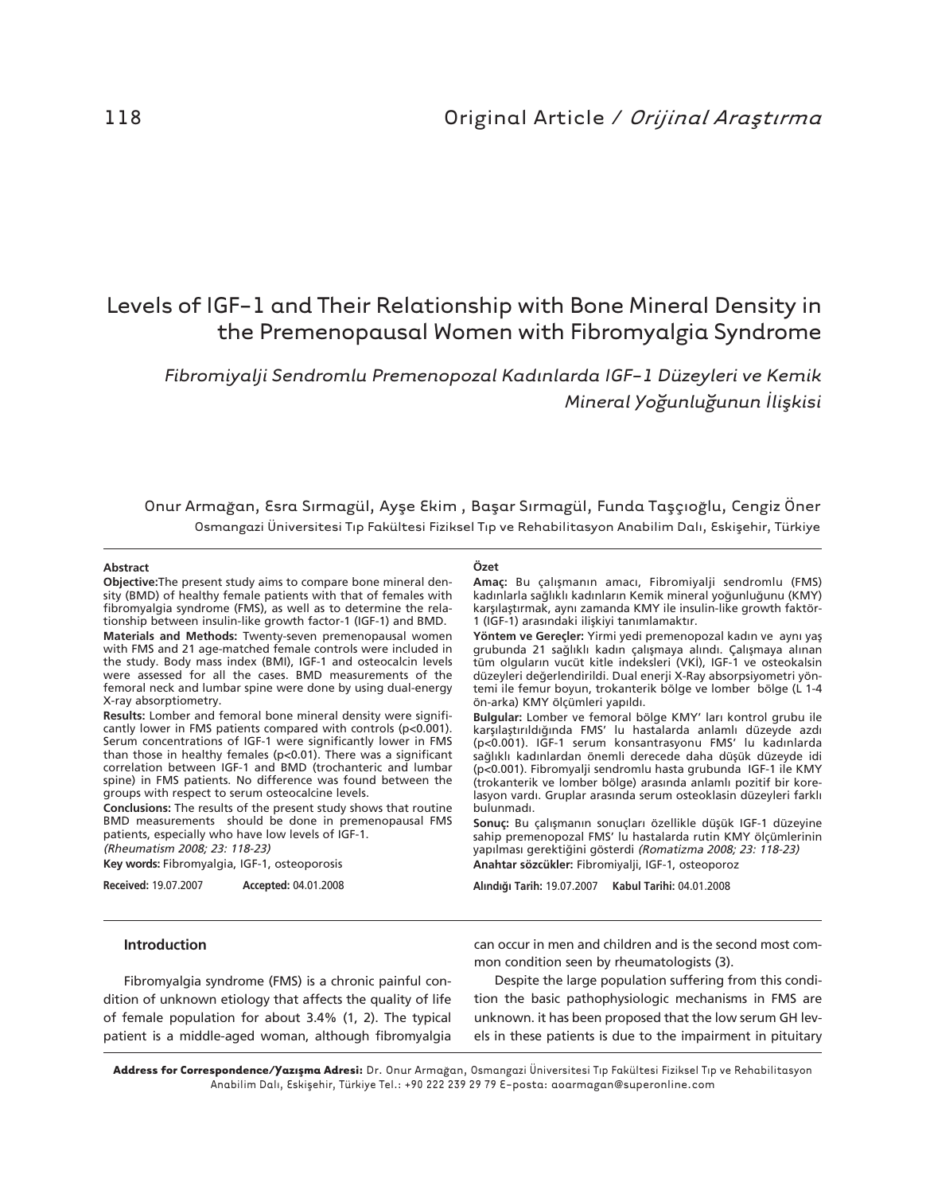# Levels of IGF-1 and Their Relationship with Bone Mineral Density in the Premenopausal Women with Fibromyalgia Syndrome

*Fibromiyalji Sendromlu Premenopozal Kad›nlarda IGF-1 Düzeyleri ve Kemik Mineral Yo¤unlu¤unun ‹liflkisi*

Onur Armağan, Esra Sırmagül, Ayşe Ekim, Başar Sırmagül, Funda Taşçıoğlu, Cengiz Öner Osmangazi Üniversitesi Tıp Fakültesi Fiziksel Tıp ve Rehabilitasyon Anabilim Dalı, Eskişehir, Türkiye

#### **Abstract**

**Objective:**The present study aims to compare bone mineral density (BMD) of healthy female patients with that of females with fibromyalgia syndrome (FMS), as well as to determine the relationship between insulin-like growth factor-1 (IGF-1) and BMD. **Materials and Methods:** Twenty-seven premenopausal women

with FMS and 21 age-matched female controls were included in the study. Body mass index (BMI), IGF-1 and osteocalcin levels were assessed for all the cases. BMD measurements of the femoral neck and lumbar spine were done by using dual-energy X-ray absorptiometry.

**Results:** Lomber and femoral bone mineral density were significantly lower in FMS patients compared with controls (p<0.001). Serum concentrations of IGF-1 were significantly lower in FMS than those in healthy females (p<0.01). There was a significant correlation between IGF-1 and BMD (trochanteric and lumbar spine) in FMS patients. No difference was found between the groups with respect to serum osteocalcine levels.

**Conclusions:** The results of the present study shows that routine BMD measurements should be done in premenopausal FMS patients, especially who have low levels of IGF-1.

(Rheumatism 2008; 23: 118-23)

**Key words:** Fibromyalgia, IGF-1, osteoporosis

**Received:** 19.07.2007 **Accepted:** 04.01.2008

#### **Özet**

Amaç: Bu çalışmanın amacı, Fibromiyalji sendromlu (FMS) kadınlarla sağlıklı kadınların Kemik mineral yoğunluğunu (KMY) karşılaştırmak, aynı zamanda KMY ile insulin-like growth faktör-1 (IGF-1) arasındaki ilişkiyi tanımlamaktır.

Yöntem ve Gereçler: Yirmi yedi premenopozal kadın ve aynı yaş grubunda 21 sağlıklı kadın çalışmaya alındı. Çalışmaya alınan tüm olguların vucüt kitle indeksleri (VKİ), IGF-1 ve osteokalsin düzeyleri değerlendirildi. Dual enerji X-Ray absorpsiyometri yöntemi ile femur boyun, trokanterik bölge ve lomber bölge (L 1-4 ön-arka) KMY ölçümleri yapıldı.

Bulgular: Lomber ve femoral bölge KMY' ları kontrol grubu ile karşılaştırıldığında FMS' lu hastalarda anlamlı düzeyde azdı (p<0.001). IGF-1 serum konsantrasyonu FMS' lu kadınlarda sağlıklı kadınlardan önemli derecede daha düşük düzeyde idi (p<0.001). Fibromyalji sendromlu hasta grubunda IGF-1 ile KMY (trokanterik ve lomber bölge) arasında anlamlı pozitif bir korelasyon vardı. Gruplar arasında serum osteoklasin düzeyleri farklı bulunmadı.

Sonuç: Bu çalışmanın sonuçları özellikle düşük IGF-1 düzeyine sahip premenopozal FMS' lu hastalarda rutin KMY ölçümlerinin yapılması gerektiğini gösterdi (Romatizma 2008; 23: 118-23) **Anahtar sözcükler:** Fibromiyalji, IGF-1, osteoporoz

**Al›nd›¤› Tarih:** 19.07.2007 **Kabul Tarihi:** 04.01.2008

#### **Introduction**

Fibromyalgia syndrome (FMS) is a chronic painful condition of unknown etiology that affects the quality of life of female population for about 3.4% (1, 2). The typical patient is a middle-aged woman, although fibromyalgia can occur in men and children and is the second most common condition seen by rheumatologists (3).

Despite the large population suffering from this condition the basic pathophysiologic mechanisms in FMS are unknown. it has been proposed that the low serum GH levels in these patients is due to the impairment in pituitary

Address for Correspondence/Yazışma Adresi: Dr. Onur Armağan, Osmangazi Üniversitesi Tıp Fakültesi Fiziksel Tıp ve Rehabilitasyon Anabilim Dalı, Eskişehir, Türkiye Tel.: +90 222 239 29 79 E-posta: aoarmagan@superonline.com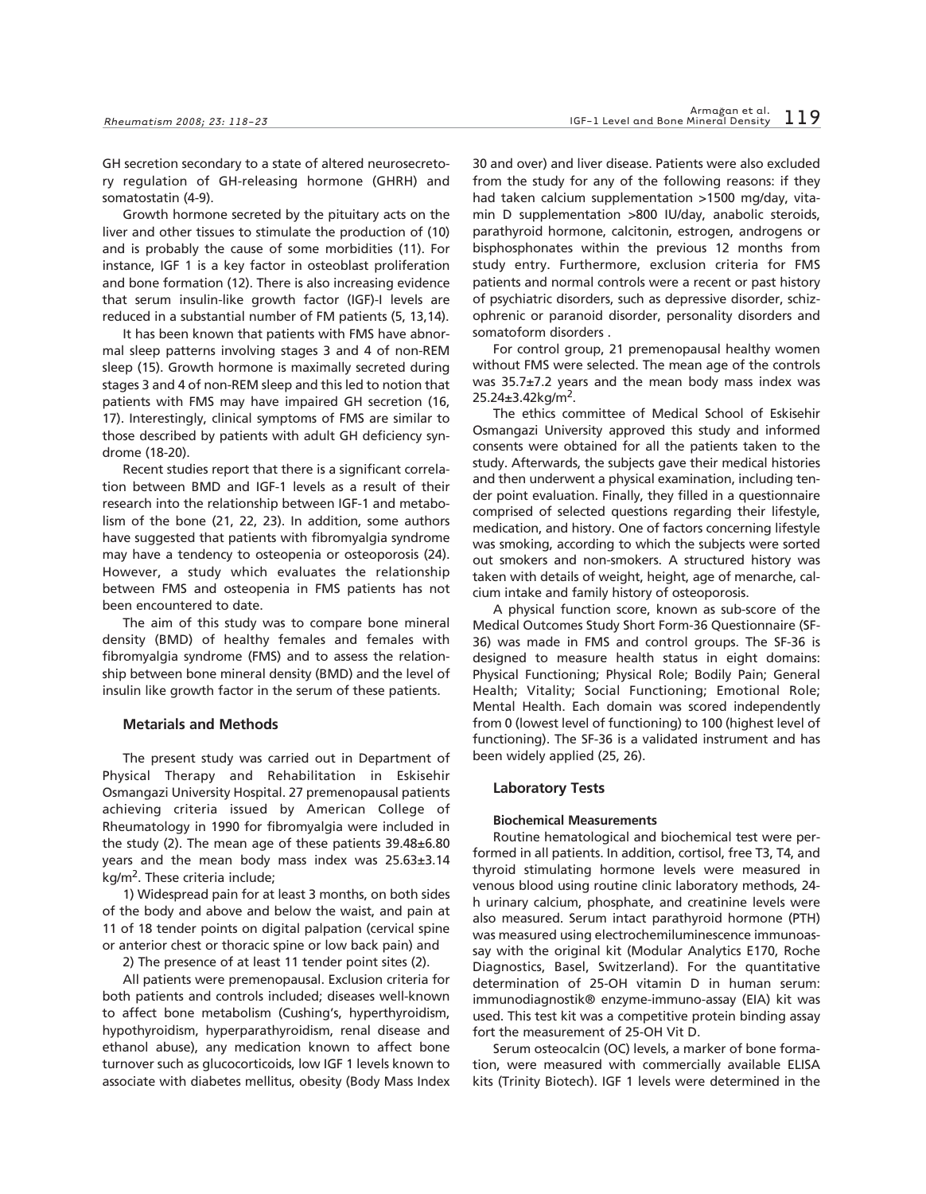GH secretion secondary to a state of altered neurosecretory regulation of GH-releasing hormone (GHRH) and somatostatin (4-9).

Growth hormone secreted by the pituitary acts on the liver and other tissues to stimulate the production of (10) and is probably the cause of some morbidities (11). For instance, IGF 1 is a key factor in osteoblast proliferation and bone formation (12). There is also increasing evidence that serum insulin-like growth factor (IGF)-I levels are reduced in a substantial number of FM patients (5, 13,14).

It has been known that patients with FMS have abnormal sleep patterns involving stages 3 and 4 of non-REM sleep (15). Growth hormone is maximally secreted during stages 3 and 4 of non-REM sleep and this led to notion that patients with FMS may have impaired GH secretion (16, 17). Interestingly, clinical symptoms of FMS are similar to those described by patients with adult GH deficiency syndrome (18-20).

Recent studies report that there is a significant correlation between BMD and IGF-1 levels as a result of their research into the relationship between IGF-1 and metabolism of the bone (21, 22, 23). In addition, some authors have suggested that patients with fibromyalgia syndrome may have a tendency to osteopenia or osteoporosis (24). However, a study which evaluates the relationship between FMS and osteopenia in FMS patients has not been encountered to date.

The aim of this study was to compare bone mineral density (BMD) of healthy females and females with fibromyalgia syndrome (FMS) and to assess the relationship between bone mineral density (BMD) and the level of insulin like growth factor in the serum of these patients.

#### **Metarials and Methods**

The present study was carried out in Department of Physical Therapy and Rehabilitation in Eskisehir Osmangazi University Hospital. 27 premenopausal patients achieving criteria issued by American College of Rheumatology in 1990 for fibromyalgia were included in the study (2). The mean age of these patients 39.48±6.80 years and the mean body mass index was 25.63±3.14 kg/m<sup>2</sup>. These criteria include;

1) Widespread pain for at least 3 months, on both sides of the body and above and below the waist, and pain at 11 of 18 tender points on digital palpation (cervical spine or anterior chest or thoracic spine or low back pain) and

2) The presence of at least 11 tender point sites (2).

All patients were premenopausal. Exclusion criteria for both patients and controls included; diseases well-known to affect bone metabolism (Cushing's, hyperthyroidism, hypothyroidism, hyperparathyroidism, renal disease and ethanol abuse), any medication known to affect bone turnover such as glucocorticoids, low IGF 1 levels known to associate with diabetes mellitus, obesity (Body Mass Index

30 and over) and liver disease. Patients were also excluded from the study for any of the following reasons: if they had taken calcium supplementation >1500 mg/day, vitamin D supplementation >800 IU/day, anabolic steroids, parathyroid hormone, calcitonin, estrogen, androgens or bisphosphonates within the previous 12 months from study entry. Furthermore, exclusion criteria for FMS patients and normal controls were a recent or past history of psychiatric disorders, such as depressive disorder, schizophrenic or paranoid disorder, personality disorders and somatoform disorders .

For control group, 21 premenopausal healthy women without FMS were selected. The mean age of the controls was 35.7±7.2 years and the mean body mass index was  $25.24 \pm 3.42$ kg/m<sup>2</sup>.

The ethics committee of Medical School of Eskisehir Osmangazi University approved this study and informed consents were obtained for all the patients taken to the study. Afterwards, the subjects gave their medical histories and then underwent a physical examination, including tender point evaluation. Finally, they filled in a questionnaire comprised of selected questions regarding their lifestyle, medication, and history. One of factors concerning lifestyle was smoking, according to which the subjects were sorted out smokers and non-smokers. A structured history was taken with details of weight, height, age of menarche, calcium intake and family history of osteoporosis.

A physical function score, known as sub-score of the Medical Outcomes Study Short Form-36 Questionnaire (SF-36) was made in FMS and control groups. The SF-36 is designed to measure health status in eight domains: Physical Functioning; Physical Role; Bodily Pain; General Health; Vitality; Social Functioning; Emotional Role; Mental Health. Each domain was scored independently from 0 (lowest level of functioning) to 100 (highest level of functioning). The SF-36 is a validated instrument and has been widely applied (25, 26).

## **Laboratory Tests**

### **Biochemical Measurements**

Routine hematological and biochemical test were performed in all patients. In addition, cortisol, free T3, T4, and thyroid stimulating hormone levels were measured in venous blood using routine clinic laboratory methods, 24 h urinary calcium, phosphate, and creatinine levels were also measured. Serum intact parathyroid hormone (PTH) was measured using electrochemiluminescence immunoassay with the original kit (Modular Analytics E170, Roche Diagnostics, Basel, Switzerland). For the quantitative determination of 25-OH vitamin D in human serum: immunodiagnostik® enzyme-immuno-assay (EIA) kit was used. This test kit was a competitive protein binding assay fort the measurement of 25-OH Vit D.

Serum osteocalcin (OC) levels, a marker of bone formation, were measured with commercially available ELISA kits (Trinity Biotech). IGF 1 levels were determined in the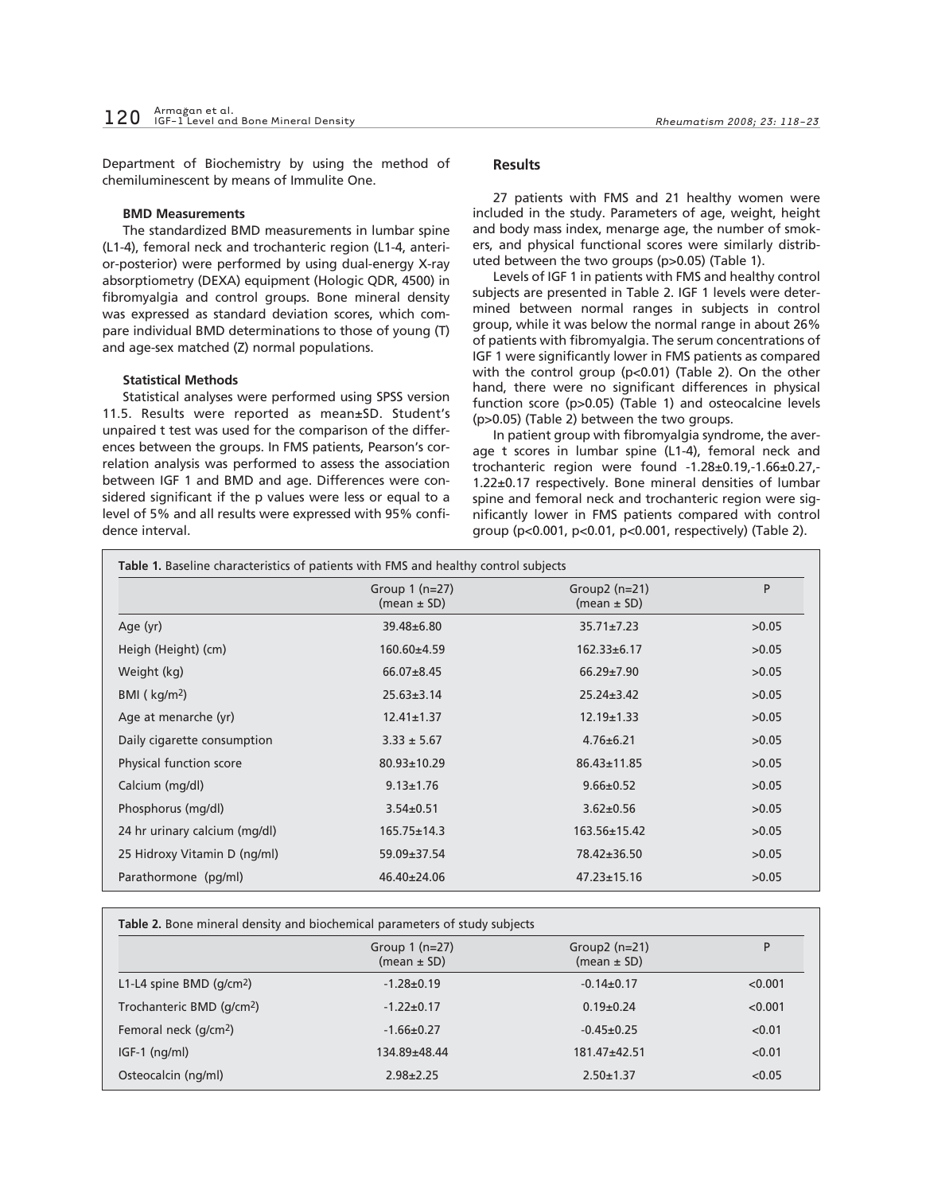Department of Biochemistry by using the method of chemiluminescent by means of Immulite One.

### **BMD Measurements**

The standardized BMD measurements in lumbar spine (L1-4), femoral neck and trochanteric region (L1-4, anterior-posterior) were performed by using dual-energy X-ray absorptiometry (DEXA) equipment (Hologic QDR, 4500) in fibromyalgia and control groups. Bone mineral density was expressed as standard deviation scores, which compare individual BMD determinations to those of young (T) and age-sex matched (Z) normal populations.

#### **Statistical Methods**

Statistical analyses were performed using SPSS version 11.5. Results were reported as mean±SD. Student's unpaired t test was used for the comparison of the differences between the groups. In FMS patients, Pearson's correlation analysis was performed to assess the association between IGF 1 and BMD and age. Differences were considered significant if the p values were less or equal to a level of 5% and all results were expressed with 95% confidence interval.

## **Results**

27 patients with FMS and 21 healthy women were included in the study. Parameters of age, weight, height and body mass index, menarge age, the number of smokers, and physical functional scores were similarly distributed between the two groups (p>0.05) (Table 1).

Levels of IGF 1 in patients with FMS and healthy control subjects are presented in Table 2. IGF 1 levels were determined between normal ranges in subjects in control group, while it was below the normal range in about 26% of patients with fibromyalgia. The serum concentrations of IGF 1 were significantly lower in FMS patients as compared with the control group (p<0.01) (Table 2). On the other hand, there were no significant differences in physical function score (p>0.05) (Table 1) and osteocalcine levels (p>0.05) (Table 2) between the two groups.

In patient group with fibromyalgia syndrome, the average t scores in lumbar spine (L1-4), femoral neck and trochanteric region were found -1.28±0.19,-1.66±0.27,- 1.22±0.17 respectively. Bone mineral densities of lumbar spine and femoral neck and trochanteric region were significantly lower in FMS patients compared with control group (p<0.001, p<0.01, p<0.001, respectively) (Table 2).

|                               | Group $1$ (n=27)<br>(mean $\pm$ SD) | Group2 $(n=21)$<br>(mean $\pm$ SD) | P     |
|-------------------------------|-------------------------------------|------------------------------------|-------|
| Age (yr)                      | 39.48±6.80                          | $35.71 \pm 7.23$                   | >0.05 |
| Heigh (Height) (cm)           | $160.60 \pm 4.59$                   | $162.33 \pm 6.17$                  | >0.05 |
| Weight (kg)                   | $66.07 \pm 8.45$                    | $66.29 \pm 7.90$                   | >0.05 |
| BMI $(kq/m2)$                 | $25.63 \pm 3.14$                    | $25.24 \pm 3.42$                   | >0.05 |
| Age at menarche (yr)          | $12.41 \pm 1.37$                    | $12.19 \pm 1.33$                   | >0.05 |
| Daily cigarette consumption   | $3.33 \pm 5.67$                     | $4.76 \pm 6.21$                    | >0.05 |
| Physical function score       | 80.93±10.29                         | 86.43±11.85                        | >0.05 |
| Calcium (mg/dl)               | $9.13 \pm 1.76$                     | $9.66 \pm 0.52$                    | >0.05 |
| Phosphorus (mg/dl)            | $3.54 \pm 0.51$                     | $3.62 \pm 0.56$                    | >0.05 |
| 24 hr urinary calcium (mg/dl) | $165.75 \pm 14.3$                   | 163.56±15.42                       | >0.05 |
| 25 Hidroxy Vitamin D (ng/ml)  | $59.09 \pm 37.54$                   | 78.42±36.50                        | >0.05 |
| Parathormone (pg/ml)          | $46.40 \pm 24.06$                   | $47.23 \pm 15.16$                  | >0.05 |

|                                       | Table 2. Bone mineral density and biochemical parameters of study subjects<br>Group $(n=21)$<br>Group $1$ (n=27) |                  | P       |
|---------------------------------------|------------------------------------------------------------------------------------------------------------------|------------------|---------|
|                                       | (mean $\pm$ SD)                                                                                                  | (mean $\pm$ SD)  |         |
| L1-L4 spine BMD $(q/cm2)$             | $-1.28 \pm 0.19$                                                                                                 | $-0.14 \pm 0.17$ | < 0.001 |
| Trochanteric BMD (g/cm <sup>2</sup> ) | $-1.22 \pm 0.17$                                                                                                 | $0.19 \pm 0.24$  | < 0.001 |
| Femoral neck (g/cm <sup>2</sup> )     | $-1.66 \pm 0.27$                                                                                                 | $-0.45+0.25$     | < 0.01  |
| $IGF-1$ (ng/ml)                       | 134.89±48.44                                                                                                     | $181.47 + 42.51$ | < 0.01  |
| Osteocalcin (ng/ml)                   | $2.98 \pm 2.25$                                                                                                  | $2.50 \pm 1.37$  | < 0.05  |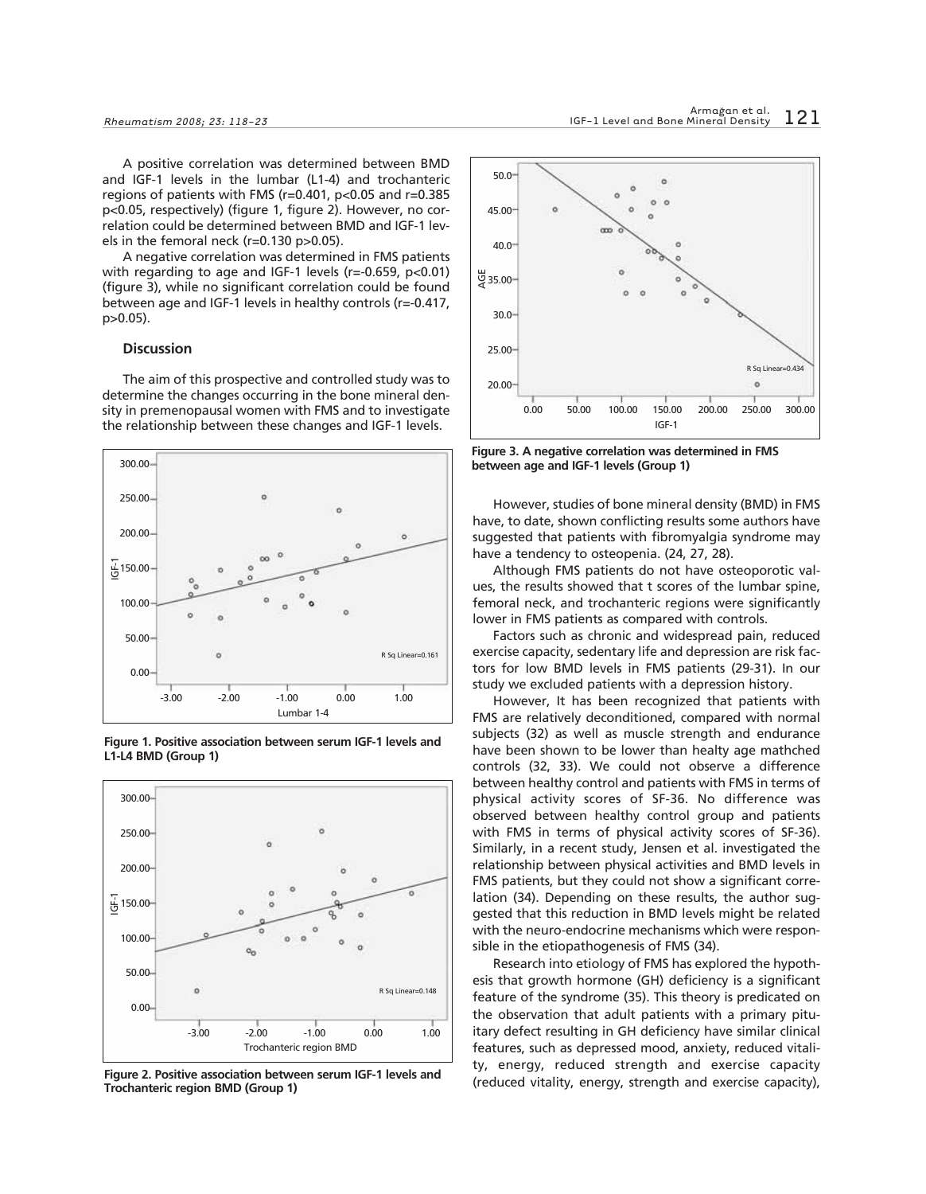A positive correlation was determined between BMD and IGF-1 levels in the lumbar (L1-4) and trochanteric regions of patients with FMS (r=0.401, p<0.05 and r=0.385 p<0.05, respectively) (figure 1, figure 2). However, no correlation could be determined between BMD and IGF-1 levels in the femoral neck (r=0.130 p>0.05).

A negative correlation was determined in FMS patients with regarding to age and IGF-1 levels (r=-0.659, p<0.01) (figure 3), while no significant correlation could be found between age and IGF-1 levels in healthy controls (r=-0.417, p>0.05).

#### **Discussion**

The aim of this prospective and controlled study was to determine the changes occurring in the bone mineral density in premenopausal women with FMS and to investigate the relationship between these changes and IGF-1 levels.





**Figure 1. Positive association between serum IGF-1 levels and L1-L4 BMD (Group 1)**

**Figure 2. Positive association between serum IGF-1 levels and Trochanteric region BMD (Group 1)**



**Figure 3. A negative correlation was determined in FMS between age and IGF-1 levels (Group 1)**

However, studies of bone mineral density (BMD) in FMS have, to date, shown conflicting results some authors have suggested that patients with fibromyalgia syndrome may have a tendency to osteopenia. (24, 27, 28).

Although FMS patients do not have osteoporotic values, the results showed that t scores of the lumbar spine, femoral neck, and trochanteric regions were significantly lower in FMS patients as compared with controls.

Factors such as chronic and widespread pain, reduced exercise capacity, sedentary life and depression are risk factors for low BMD levels in FMS patients (29-31). In our study we excluded patients with a depression history.

However, It has been recognized that patients with FMS are relatively deconditioned, compared with normal subjects (32) as well as muscle strength and endurance have been shown to be lower than healty age mathched controls (32, 33). We could not observe a difference between healthy control and patients with FMS in terms of physical activity scores of SF-36. No difference was observed between healthy control group and patients with FMS in terms of physical activity scores of SF-36). Similarly, in a recent study, Jensen et al. investigated the relationship between physical activities and BMD levels in FMS patients, but they could not show a significant correlation (34). Depending on these results, the author suggested that this reduction in BMD levels might be related with the neuro-endocrine mechanisms which were responsible in the etiopathogenesis of FMS (34).

Research into etiology of FMS has explored the hypothesis that growth hormone (GH) deficiency is a significant feature of the syndrome (35). This theory is predicated on the observation that adult patients with a primary pituitary defect resulting in GH deficiency have similar clinical features, such as depressed mood, anxiety, reduced vitality, energy, reduced strength and exercise capacity (reduced vitality, energy, strength and exercise capacity),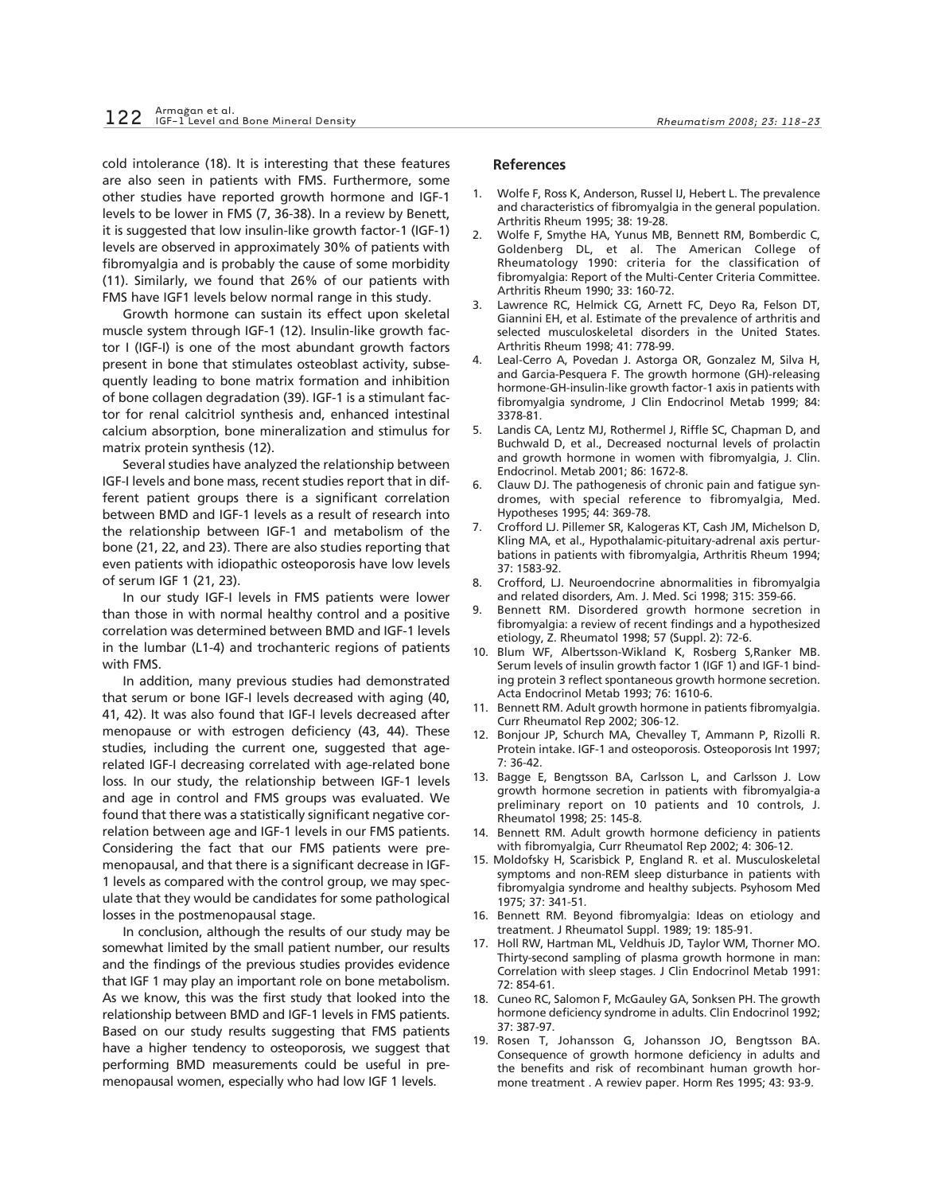cold intolerance (18). It is interesting that these features are also seen in patients with FMS. Furthermore, some other studies have reported growth hormone and IGF-1 levels to be lower in FMS (7, 36-38). In a review by Benett, it is suggested that low insulin-like growth factor-1 (IGF-1) levels are observed in approximately 30% of patients with fibromyalgia and is probably the cause of some morbidity (11). Similarly, we found that 26% of our patients with FMS have IGF1 levels below normal range in this study.

Growth hormone can sustain its effect upon skeletal muscle system through IGF-1 (12). Insulin-like growth factor I (IGF-I) is one of the most abundant growth factors present in bone that stimulates osteoblast activity, subsequently leading to bone matrix formation and inhibition of bone collagen degradation (39). IGF-1 is a stimulant factor for renal calcitriol synthesis and, enhanced intestinal calcium absorption, bone mineralization and stimulus for matrix protein synthesis (12).

Several studies have analyzed the relationship between IGF-I levels and bone mass, recent studies report that in different patient groups there is a significant correlation between BMD and IGF-1 levels as a result of research into the relationship between IGF-1 and metabolism of the bone (21, 22, and 23). There are also studies reporting that even patients with idiopathic osteoporosis have low levels of serum IGF 1 (21, 23).

In our study IGF-I levels in FMS patients were lower than those in with normal healthy control and a positive correlation was determined between BMD and IGF-1 levels in the lumbar (L1-4) and trochanteric regions of patients with FMS.

In addition, many previous studies had demonstrated that serum or bone IGF-I levels decreased with aging (40, 41, 42). It was also found that IGF-I levels decreased after menopause or with estrogen deficiency (43, 44). These studies, including the current one, suggested that agerelated IGF-I decreasing correlated with age-related bone loss. In our study, the relationship between IGF-1 levels and age in control and FMS groups was evaluated. We found that there was a statistically significant negative correlation between age and IGF-1 levels in our FMS patients. Considering the fact that our FMS patients were premenopausal, and that there is a significant decrease in IGF-1 levels as compared with the control group, we may speculate that they would be candidates for some pathological losses in the postmenopausal stage.

In conclusion, although the results of our study may be somewhat limited by the small patient number, our results and the findings of the previous studies provides evidence that IGF 1 may play an important role on bone metabolism. As we know, this was the first study that looked into the relationship between BMD and IGF-1 levels in FMS patients. Based on our study results suggesting that FMS patients have a higher tendency to osteoporosis, we suggest that performing BMD measurements could be useful in premenopausal women, especially who had low IGF 1 levels.

#### **References**

- 1. Wolfe F, Ross K, Anderson, Russel IJ, Hebert L. The prevalence and characteristics of fibromyalgia in the general population. Arthritis Rheum 1995; 38: 19-28.
- 2. Wolfe F, Smythe HA, Yunus MB, Bennett RM, Bomberdic C, Goldenberg DL, et al. The American College of Rheumatology 1990: criteria for the classification of fibromyalgia: Report of the Multi-Center Criteria Committee. Arthritis Rheum 1990; 33: 160-72.
- 3. Lawrence RC, Helmick CG, Arnett FC, Deyo Ra, Felson DT, Giannini EH, et al. Estimate of the prevalence of arthritis and selected musculoskeletal disorders in the United States. Arthritis Rheum 1998; 41: 778-99.
- 4. Leal-Cerro A, Povedan J. Astorga OR, Gonzalez M, Silva H, and Garcia-Pesquera F. The growth hormone (GH)-releasing hormone-GH-insulin-like growth factor-1 axis in patients with fibromyalgia syndrome, J Clin Endocrinol Metab 1999; 84: 3378-81.
- 5. Landis CA, Lentz MJ, Rothermel J, Riffle SC, Chapman D, and Buchwald D, et al., Decreased nocturnal levels of prolactin and growth hormone in women with fibromyalgia, J. Clin. Endocrinol. Metab 2001; 86: 1672-8.
- 6. Clauw DJ. The pathogenesis of chronic pain and fatigue syndromes, with special reference to fibromyalgia, Med. Hypotheses 1995; 44: 369-78.
- 7. Crofford LJ. Pillemer SR, Kalogeras KT, Cash JM, Michelson D, Kling MA, et al., Hypothalamic-pituitary-adrenal axis perturbations in patients with fibromyalgia, Arthritis Rheum 1994; 37: 1583-92.
- 8. Crofford, LJ. Neuroendocrine abnormalities in fibromyalgia and related disorders, Am. J. Med. Sci 1998; 315: 359-66.
- 9. Bennett RM. Disordered growth hormone secretion in fibromyalgia: a review of recent findings and a hypothesized etiology, Z. Rheumatol 1998; 57 (Suppl. 2): 72-6.
- 10. Blum WF, Albertsson-Wikland K, Rosberg S,Ranker MB. Serum levels of insulin growth factor 1 (IGF 1) and IGF-1 binding protein 3 reflect spontaneous growth hormone secretion. Acta Endocrinol Metab 1993; 76: 1610-6.
- 11. Bennett RM. Adult growth hormone in patients fibromyalgia. Curr Rheumatol Rep 2002; 306-12.
- 12. Bonjour JP, Schurch MA, Chevalley T, Ammann P, Rizolli R. Protein intake. IGF-1 and osteoporosis. Osteoporosis Int 1997; 7: 36-42.
- 13. Bagge E, Bengtsson BA, Carlsson L, and Carlsson J. Low growth hormone secretion in patients with fibromyalgia-a preliminary report on 10 patients and 10 controls, J. Rheumatol 1998; 25: 145-8.
- 14. Bennett RM. Adult growth hormone deficiency in patients with fibromyalgia, Curr Rheumatol Rep 2002; 4: 306-12.
- 15. Moldofsky H, Scarisbick P, England R. et al. Musculoskeletal symptoms and non-REM sleep disturbance in patients with fibromyalgia syndrome and healthy subjects. Psyhosom Med 1975; 37: 341-51.
- 16. Bennett RM. Beyond fibromyalgia: Ideas on etiology and treatment. J Rheumatol Suppl. 1989; 19: 185-91.
- 17. Holl RW, Hartman ML, Veldhuis JD, Taylor WM, Thorner MO. Thirty-second sampling of plasma growth hormone in man: Correlation with sleep stages. J Clin Endocrinol Metab 1991: 72: 854-61.
- 18. Cuneo RC, Salomon F, McGauley GA, Sonksen PH. The growth hormone deficiency syndrome in adults. Clin Endocrinol 1992; 37: 387-97.
- 19. Rosen T, Johansson G, Johansson JO, Bengtsson BA. Consequence of growth hormone deficiency in adults and the benefits and risk of recombinant human growth hormone treatment . A rewiev paper. Horm Res 1995; 43: 93-9.